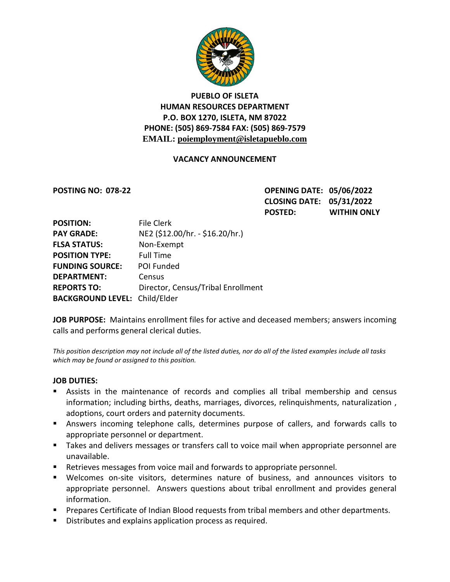

# **PUEBLO OF ISLETA HUMAN RESOURCES DEPARTMENT P.O. BOX 1270, ISLETA, NM 87022 PHONE: (505) 869-7584 FAX: (505) 869-7579 EMAIL: poiemployment@isletapueblo.com**

#### **VACANCY ANNOUNCEMENT**

**POSTING NO: 078-22 OPENING DATE: 05/06/2022 CLOSING DATE: 05/31/2022 POSTED: WITHIN ONLY**

| <b>POSITION:</b>                     | <b>File Clerk</b>                  |
|--------------------------------------|------------------------------------|
| <b>PAY GRADE:</b>                    | NE2 (\$12.00/hr. - \$16.20/hr.)    |
| <b>FLSA STATUS:</b>                  | Non-Exempt                         |
| <b>POSITION TYPE:</b>                | <b>Full Time</b>                   |
| <b>FUNDING SOURCE:</b>               | POI Funded                         |
| <b>DEPARTMENT:</b>                   | Census                             |
| <b>REPORTS TO:</b>                   | Director, Census/Tribal Enrollment |
| <b>BACKGROUND LEVEL: Child/Elder</b> |                                    |

**JOB PURPOSE:** Maintains enrollment files for active and deceased members; answers incoming calls and performs general clerical duties.

*This position description may not include all of the listed duties, nor do all of the listed examples include all tasks which may be found or assigned to this position.*

#### **JOB DUTIES:**

- Assists in the maintenance of records and complies all tribal membership and census information; including births, deaths, marriages, divorces, relinquishments, naturalization , adoptions, court orders and paternity documents.
- Answers incoming telephone calls, determines purpose of callers, and forwards calls to appropriate personnel or department.
- Takes and delivers messages or transfers call to voice mail when appropriate personnel are unavailable.
- Retrieves messages from voice mail and forwards to appropriate personnel.
- Welcomes on-site visitors, determines nature of business, and announces visitors to appropriate personnel. Answers questions about tribal enrollment and provides general information.
- **Prepares Certificate of Indian Blood requests from tribal members and other departments.**
- **Distributes and explains application process as required.**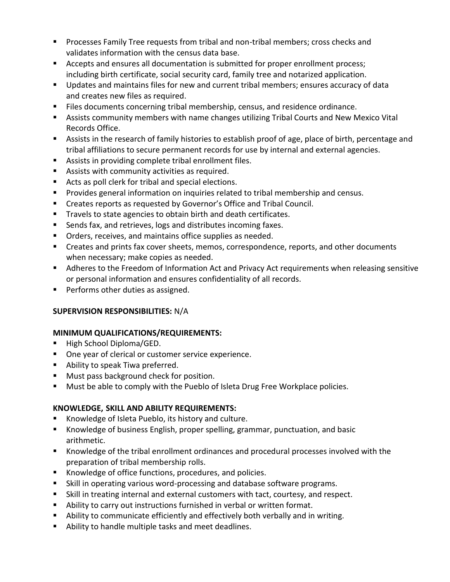- **Processes Family Tree requests from tribal and non-tribal members; cross checks and** validates information with the census data base.
- Accepts and ensures all documentation is submitted for proper enrollment process; including birth certificate, social security card, family tree and notarized application.
- Updates and maintains files for new and current tribal members; ensures accuracy of data and creates new files as required.
- Files documents concerning tribal membership, census, and residence ordinance.
- Assists community members with name changes utilizing Tribal Courts and New Mexico Vital Records Office.
- Assists in the research of family histories to establish proof of age, place of birth, percentage and tribal affiliations to secure permanent records for use by internal and external agencies.
- Assists in providing complete tribal enrollment files.
- Assists with community activities as required.
- Acts as poll clerk for tribal and special elections.
- **Provides general information on inquiries related to tribal membership and census.**
- Creates reports as requested by Governor's Office and Tribal Council.
- Travels to state agencies to obtain birth and death certificates.
- Sends fax, and retrieves, logs and distributes incoming faxes.
- **•** Orders, receives, and maintains office supplies as needed.
- Creates and prints fax cover sheets, memos, correspondence, reports, and other documents when necessary; make copies as needed.
- Adheres to the Freedom of Information Act and Privacy Act requirements when releasing sensitive or personal information and ensures confidentiality of all records.
- **Performs other duties as assigned.**

## **SUPERVISION RESPONSIBILITIES:** N/A

## **MINIMUM QUALIFICATIONS/REQUIREMENTS:**

- High School Diploma/GED.
- **Diam** One year of clerical or customer service experience.
- **Ability to speak Tiwa preferred.**
- **Must pass background check for position.**
- **Must be able to comply with the Pueblo of Isleta Drug Free Workplace policies.**

## **KNOWLEDGE, SKILL AND ABILITY REQUIREMENTS:**

- Knowledge of Isleta Pueblo, its history and culture.
- Knowledge of business English, proper spelling, grammar, punctuation, and basic arithmetic.
- Knowledge of the tribal enrollment ordinances and procedural processes involved with the preparation of tribal membership rolls.
- Knowledge of office functions, procedures, and policies.
- Skill in operating various word-processing and database software programs.
- Skill in treating internal and external customers with tact, courtesy, and respect.
- Ability to carry out instructions furnished in verbal or written format.
- Ability to communicate efficiently and effectively both verbally and in writing.
- Ability to handle multiple tasks and meet deadlines.